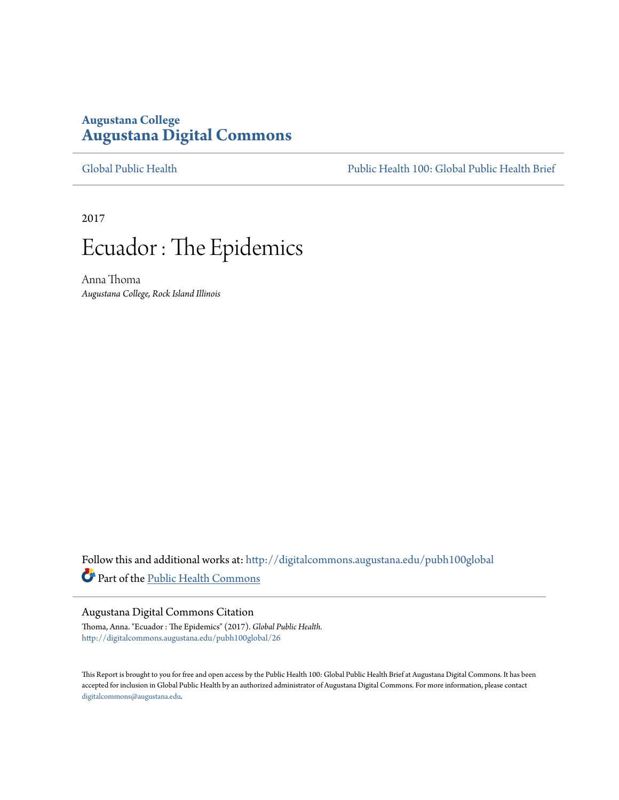## **Augustana College [Augustana Digital Commons](http://digitalcommons.augustana.edu?utm_source=digitalcommons.augustana.edu%2Fpubh100global%2F26&utm_medium=PDF&utm_campaign=PDFCoverPages)**

[Global Public Health](http://digitalcommons.augustana.edu/pubh100global?utm_source=digitalcommons.augustana.edu%2Fpubh100global%2F26&utm_medium=PDF&utm_campaign=PDFCoverPages) [Public Health 100: Global Public Health Brief](http://digitalcommons.augustana.edu/pubh100?utm_source=digitalcommons.augustana.edu%2Fpubh100global%2F26&utm_medium=PDF&utm_campaign=PDFCoverPages)

2017

# Ecuador : The Epidemics

Anna Thoma *Augustana College, Rock Island Illinois*

Follow this and additional works at: [http://digitalcommons.augustana.edu/pubh100global](http://digitalcommons.augustana.edu/pubh100global?utm_source=digitalcommons.augustana.edu%2Fpubh100global%2F26&utm_medium=PDF&utm_campaign=PDFCoverPages) Part of the [Public Health Commons](http://network.bepress.com/hgg/discipline/738?utm_source=digitalcommons.augustana.edu%2Fpubh100global%2F26&utm_medium=PDF&utm_campaign=PDFCoverPages)

#### Augustana Digital Commons Citation

Thoma, Anna. "Ecuador : The Epidemics" (2017). *Global Public Health.* [http://digitalcommons.augustana.edu/pubh100global/26](http://digitalcommons.augustana.edu/pubh100global/26?utm_source=digitalcommons.augustana.edu%2Fpubh100global%2F26&utm_medium=PDF&utm_campaign=PDFCoverPages)

This Report is brought to you for free and open access by the Public Health 100: Global Public Health Brief at Augustana Digital Commons. It has been accepted for inclusion in Global Public Health by an authorized administrator of Augustana Digital Commons. For more information, please contact [digitalcommons@augustana.edu.](mailto:digitalcommons@augustana.edu)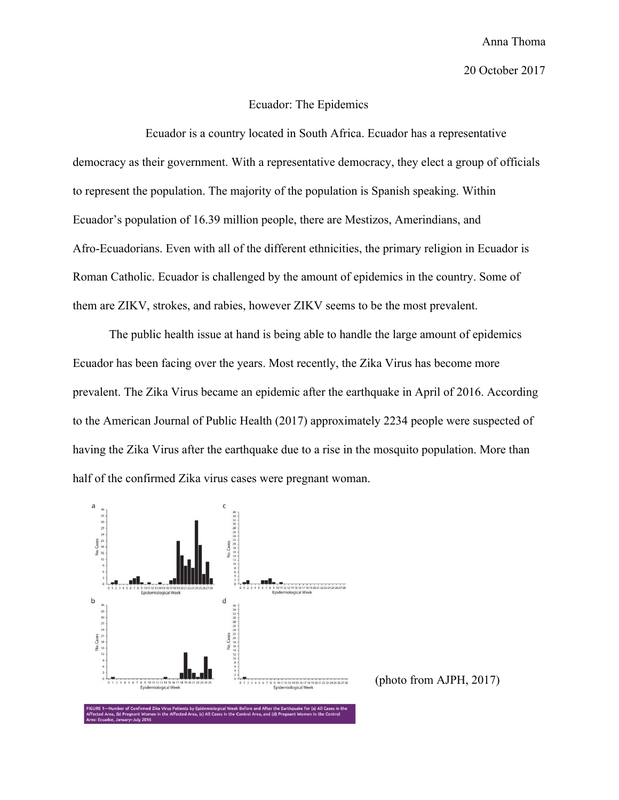## 20 October 2017

## Ecuador: The Epidemics

Ecuador is a country located in South Africa. Ecuador has a representative democracy as their government. With a representative democracy, they elect a group of officials to represent the population. The majority of the population is Spanish speaking. Within Ecuador's population of 16.39 million people, there are Mestizos, Amerindians, and Afro-Ecuadorians. Even with all of the different ethnicities, the primary religion in Ecuador is Roman Catholic. Ecuador is challenged by the amount of epidemics in the country. Some of them are ZIKV, strokes, and rabies, however ZIKV seems to be the most prevalent.

The public health issue at hand is being able to handle the large amount of epidemics Ecuador has been facing over the years. Most recently, the Zika Virus has become more prevalent. The Zika Virus became an epidemic after the earthquake in April of 2016. According to the American Journal of Public Health (2017) approximately 2234 people were suspected of having the Zika Virus after the earthquake due to a rise in the mosquito population. More than half of the confirmed Zika virus cases were pregnant woman.



(photo from AJPH, 2017)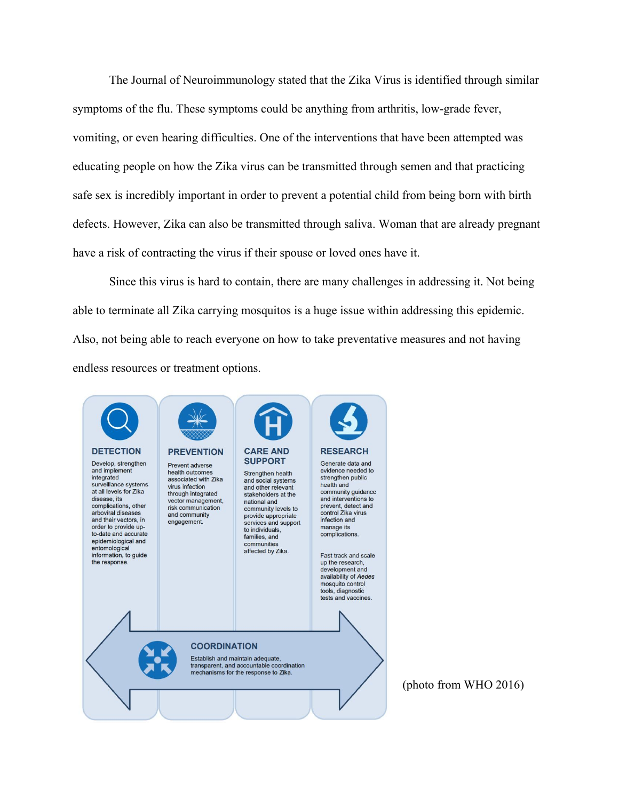The Journal of Neuroimmunology stated that the Zika Virus is identified through similar symptoms of the flu. These symptoms could be anything from arthritis, low-grade fever, vomiting, or even hearing difficulties. One of the interventions that have been attempted was educating people on how the Zika virus can be transmitted through semen and that practicing safe sex is incredibly important in order to prevent a potential child from being born with birth defects. However, Zika can also be transmitted through saliva. Woman that are already pregnant have a risk of contracting the virus if their spouse or loved ones have it.

Since this virus is hard to contain, there are many challenges in addressing it. Not being able to terminate all Zika carrying mosquitos is a huge issue within addressing this epidemic. Also, not being able to reach everyone on how to take preventative measures and not having endless resources or treatment options.

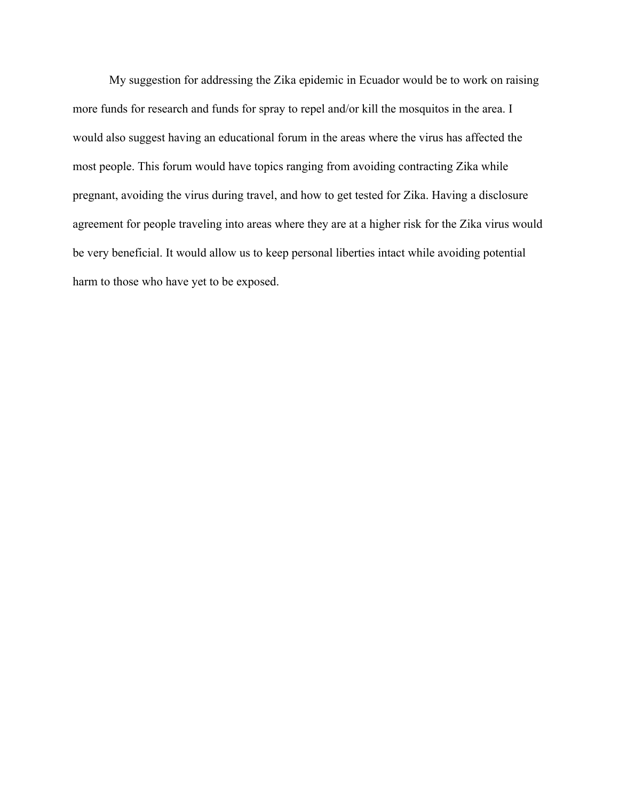My suggestion for addressing the Zika epidemic in Ecuador would be to work on raising more funds for research and funds for spray to repel and/or kill the mosquitos in the area. I would also suggest having an educational forum in the areas where the virus has affected the most people. This forum would have topics ranging from avoiding contracting Zika while pregnant, avoiding the virus during travel, and how to get tested for Zika. Having a disclosure agreement for people traveling into areas where they are at a higher risk for the Zika virus would be very beneficial. It would allow us to keep personal liberties intact while avoiding potential harm to those who have yet to be exposed.